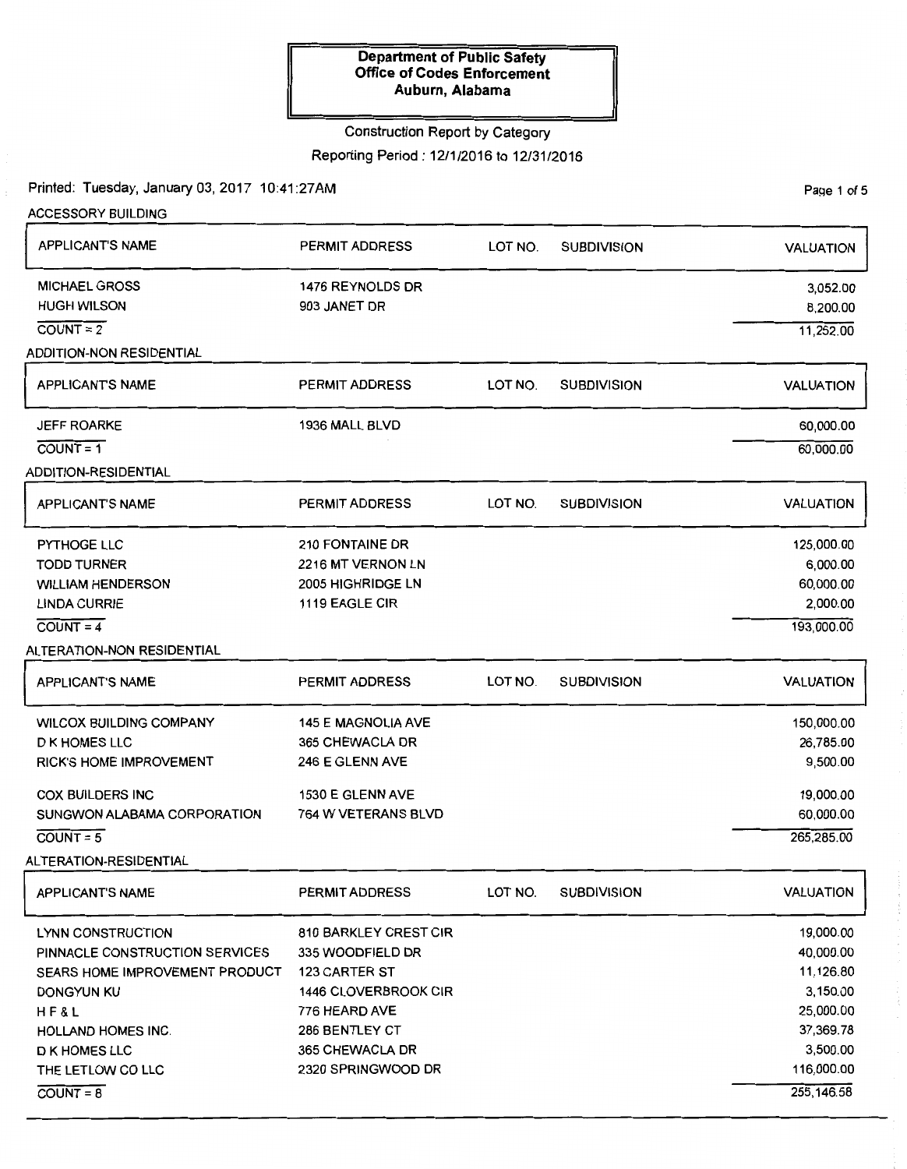#### Construction Report by Category

Reporting Period: 12/1/2016 to 12/31/2016

Printed: Tuesday, January 03,2017 10:41:27AM

ACCESSORY BUILDING APPLICANT'S NAME MICHAEL GROSS HUGH WILSON  $COLUTIONT = 2$ ADDITION-NON RESIDENTIAL APPLICANT'S NAME JEFF ROARKE  $COUNT = 1$ ADDITION-RESIDENTIAL APPLICANT'S NAME PYTHOGE LLC TODD TURNER WILLIAM HENDERSON LINDA CURRIE  $COUNT = 4$ ALTERATION-NON RESIDENTIAL APPLICANT'S NAME WILCOX BUILDING COMPANY D K HOMES LLC RICK'S HOME IMPROVEMENT COX BUILDERS INC SUNGWON ALABAMA CORPORATION  $COUNT = 5$ ALTERATION-RESIDENTIAL APPLICANT'S NAME LYNN CONSTRUCTION PINNACLE CONSTRUCTION SERVICES PERMIT ADDRESS 1476 REYNOLDS DR 903 JANET DR PERMIT ADDRESS 1936 MALL BLVD PERMIT ADDRESS 210 FONTAINE DR 2216 MT VERNON LN 2005 HIGHRIDGE LN 1119 EAGLE CIR PERMIT ADDRESS 145 E MAGNOLIA AVE 365 CHEWACLA DR 246 E GLENN AVE 1530 E GLENN AVE 764 W VETERANS BLVD PERMIT ADDRESS 810 BARKLEY CREST CIR 335 WOODFIELD DR SEARS HOME IMPROVEMENT PRODUCT 123 CARTER ST DONGYUN KU 1446 CLOVERBROOK CIR HF&L HOLLAND HOMES INC. D KHOMES LLC THE LETLOW CO LLC  $C <sup>$C$ </sup></sup>$ 776 HEARD AVE 286 BENTLEY CT 365 CHEWACLA DR 2320 SPRINGWOOD DR LOT NO. SUBDIVISION LOT NO. SUBDIVISION LOT NO. SUBDIVISION LOT NO. SUBDIVISION LOT NO. SUBDIVISION VALUATION 3,052.00 8,200.00 11,252.00 VALUATION 60,000.00 60,000.00 VALUATION 125,000.00 6,000.00 60,000.00 2,000.00 193,000.00 VALUATION 150,000.00 26,785.00 9,500.00 19,000.00 60,000.00 265,285.00 VALUATION 19,000.00 40,000.00 11,126.80 3,150.00 25,000.00 37,369.78 3,500.00 116,000.00 255,146.58

Page 1 of 5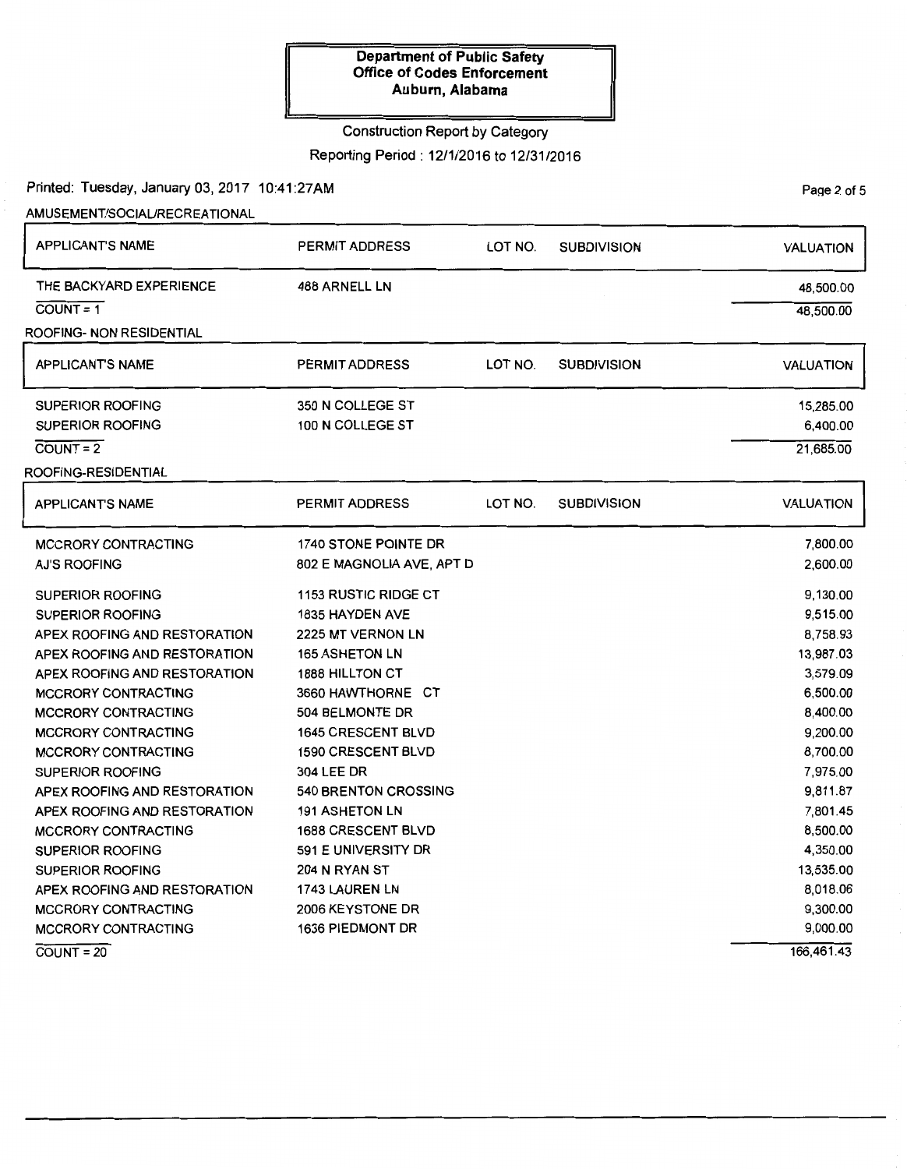# Construction Report by Category

Reporting Period: 12/1/2016 to 12/31/2016

## Printed: Tuesday, January 03, 2017 10:41:27AM

## AMUSEMENT/SOCIAURECREATIONAL

| <b>APPLICANT'S NAME</b>      | <b>PERMIT ADDRESS</b>       | LOT NO. | <b>SUBDIVISION</b> | <b>VALUATION</b> |
|------------------------------|-----------------------------|---------|--------------------|------------------|
| THE BACKYARD EXPERIENCE      | 488 ARNELL LN               |         |                    | 48,500.00        |
| $COUNT = 1$                  |                             |         |                    | 48,500.00        |
| ROOFING- NON RESIDENTIAL     |                             |         |                    |                  |
| <b>APPLICANT'S NAME</b>      | <b>PERMIT ADDRESS</b>       | LOT NO. | <b>SUBDIVISION</b> | <b>VALUATION</b> |
| <b>SUPERIOR ROOFING</b>      | 350 N COLLEGE ST            |         |                    | 15,285.00        |
| <b>SUPERIOR ROOFING</b>      | 100 N COLLEGE ST            |         |                    | 6,400.00         |
| $COUNT = 2$                  |                             |         |                    | 21,685.00        |
| ROOFING-RESIDENTIAL          |                             |         |                    |                  |
| <b>APPLICANT'S NAME</b>      | PERMIT ADDRESS              | LOT NO. | <b>SUBDIVISION</b> | <b>VALUATION</b> |
| <b>MCCRORY CONTRACTING</b>   | 1740 STONE POINTE DR        |         |                    | 7,800.00         |
| AJ'S ROOFING                 | 802 E MAGNOLIA AVE, APT D   |         |                    | 2,600.00         |
| <b>SUPERIOR ROOFING</b>      | 1153 RUSTIC RIDGE CT        |         |                    | 9,130.00         |
| <b>SUPERIOR ROOFING</b>      | <b>1835 HAYDEN AVE</b>      |         |                    | 9,515.00         |
| APEX ROOFING AND RESTORATION | 2225 MT VERNON LN           |         |                    | 8,758.93         |
| APEX ROOFING AND RESTORATION | <b>165 ASHETON LN</b>       |         |                    | 13,987.03        |
| APEX ROOFING AND RESTORATION | <b>1888 HILLTON CT</b>      |         |                    | 3,579.09         |
| <b>MCCRORY CONTRACTING</b>   | 3660 HAWTHORNE CT           |         |                    | 6,500.00         |
| <b>MCCRORY CONTRACTING</b>   | 504 BELMONTE DR             |         |                    | 8,400.00         |
| <b>MCCRORY CONTRACTING</b>   | <b>1645 CRESCENT BLVD</b>   |         |                    | 9,200.00         |
| <b>MCCRORY CONTRACTING</b>   | <b>1590 CRESCENT BLVD</b>   |         |                    | 8,700.00         |
| <b>SUPERIOR ROOFING</b>      | 304 LEE DR                  |         |                    | 7,975.00         |
| APEX ROOFING AND RESTORATION | <b>540 BRENTON CROSSING</b> |         |                    | 9,811.87         |
| APEX ROOFING AND RESTORATION | <b>191 ASHETON LN</b>       |         |                    | 7,801.45         |
| <b>MCCRORY CONTRACTING</b>   | <b>1688 CRESCENT BLVD</b>   |         |                    | 8,500.00         |
| <b>SUPERIOR ROOFING</b>      | 591 E UNIVERSITY DR         |         |                    | 4,350.00         |
| <b>SUPERIOR ROOFING</b>      | 204 N RYAN ST               |         |                    | 13,535.00        |
| APEX ROOFING AND RESTORATION | 1743 LAUREN LN              |         |                    | 8,018.06         |
| <b>MCCRORY CONTRACTING</b>   | 2006 KEYSTONE DR            |         |                    | 9,300.00         |
| <b>MCCRORY CONTRACTING</b>   | 1636 PIEDMONT DR            |         |                    | 9,000.00         |
| $COUNT = 20$                 |                             |         |                    | 166,461.43       |

Page 2 of 5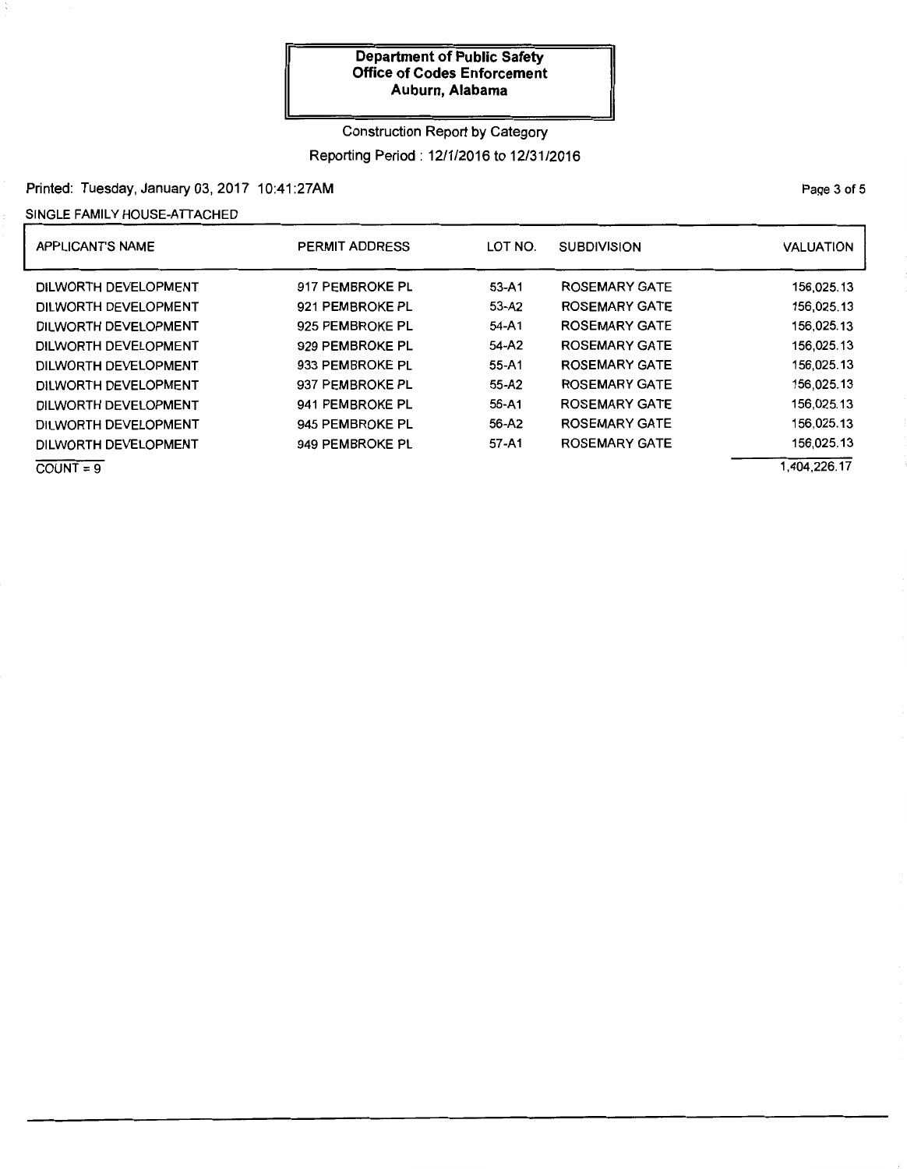# Construction Report by Category Reporting Period: 12/1/2016 to 12/31/2016

## Printed: Tuesday, January 03, 2017 10:41 :27AM

## SINGLE FAMILY HOUSE-ATTACHED

| <b>APPLICANT'S NAME</b> | <b>PERMIT ADDRESS</b> | LOT NO.   | <b>SUBDIVISION</b>   | <b>VALUATION</b> |
|-------------------------|-----------------------|-----------|----------------------|------------------|
| DILWORTH DEVELOPMENT    | 917 PEMBROKE PL       | $53 - A1$ | <b>ROSEMARY GATE</b> | 156,025.13       |
| DILWORTH DEVELOPMENT    | 921 PEMBROKE PL       | 53-A2     | <b>ROSEMARY GATE</b> | 156.025.13       |
| DILWORTH DEVELOPMENT    | 925 PEMBROKE PL       | 54-A1     | <b>ROSEMARY GATE</b> | 156.025.13       |
| DILWORTH DEVELOPMENT    | 929 PEMBROKE PL       | 54-A2     | <b>ROSEMARY GATE</b> | 156.025.13       |
| DILWORTH DEVELOPMENT    | 933 PEMBROKE PL       | $55 - A1$ | ROSEMARY GATE        | 156,025.13       |
| DILWORTH DEVELOPMENT    | 937 PEMBROKE PL       | 55-A2     | <b>ROSEMARY GATE</b> | 156,025.13       |
| DILWORTH DEVELOPMENT    | 941 PEMBROKE PL       | 56-A1     | <b>ROSEMARY GATE</b> | 156,025.13       |
| DILWORTH DEVELOPMENT    | 945 PEMBROKE PL       | 56-A2     | <b>ROSEMARY GATE</b> | 156,025.13       |
| DILWORTH DEVELOPMENT    | 949 PEMBROKE PL       | 57-A1     | <b>ROSEMARY GATE</b> | 156,025.13       |
| $COUNT = 9$             |                       |           |                      | 404,226.17       |

PaQe 3 of 5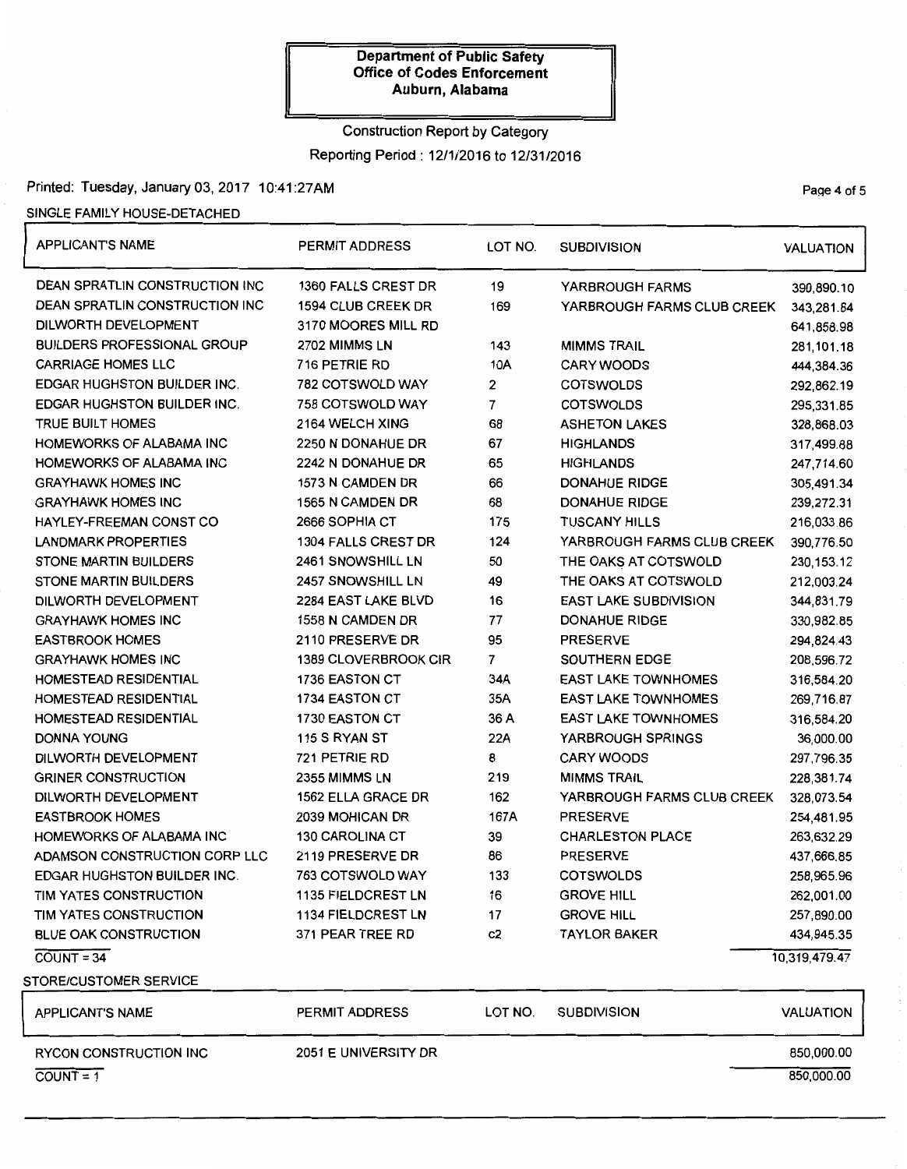# Construction Report by Category Reporting Period: 12/1/2016 to 12/31/2016

# Printed: Tuesday, January 03, 2017 10:41:27AM Printed: Tuesday, January 03, 2017 10:41:27AM

## SINGLE FAMILY HOUSE-DETACHED

| <b>APPLICANT'S NAME</b>            | <b>PERMIT ADDRESS</b>       | LOT NO. | <b>SUBDIVISION</b>           | <b>VALUATION</b> |
|------------------------------------|-----------------------------|---------|------------------------------|------------------|
| DEAN SPRATLIN CONSTRUCTION INC     | <b>1360 FALLS CREST DR</b>  | 19      | YARBROUGH FARMS              | 390,890.10       |
| DEAN SPRATLIN CONSTRUCTION INC     | 1594 CLUB CREEK DR          | 169     | YARBROUGH FARMS CLUB CREEK   | 343,281.84       |
| DILWORTH DEVELOPMENT               | 3170 MOORES MILL RD         |         |                              | 641,858.98       |
| <b>BUILDERS PROFESSIONAL GROUP</b> | 2702 MIMMS LN               | 143     | <b>MIMMS TRAIL</b>           | 281,101.18       |
| <b>CARRIAGE HOMES LLC</b>          | 716 PETRIE RD               | 10A     | <b>CARY WOODS</b>            | 444,384.36       |
| <b>EDGAR HUGHSTON BUILDER INC.</b> | 782 COTSWOLD WAY            | 2       | <b>COTSWOLDS</b>             | 292,862.19       |
| <b>EDGAR HUGHSTON BUILDER INC.</b> | 758 COTSWOLD WAY            | 7       | <b>COTSWOLDS</b>             | 295,331.85       |
| <b>TRUE BUILT HOMES</b>            | 2164 WELCH XING             | 68      | <b>ASHETON LAKES</b>         | 328,868.03       |
| HOMEWORKS OF ALABAMA INC           | 2250 N DONAHUE DR           | 67      | <b>HIGHLANDS</b>             | 317,499.88       |
| HOMEWORKS OF ALABAMA INC           | 2242 N DONAHUE DR           | 65      | <b>HIGHLANDS</b>             | 247,714.60       |
| <b>GRAYHAWK HOMES INC</b>          | 1573 N CAMDEN DR            | 66      | <b>DONAHUE RIDGE</b>         | 305,491.34       |
| <b>GRAYHAWK HOMES INC</b>          | 1565 N CAMDEN DR            | 68      | <b>DONAHUE RIDGE</b>         | 239,272.31       |
| <b>HAYLEY-FREEMAN CONST CO</b>     | 2666 SOPHIA CT              | 175     | <b>TUSCANY HILLS</b>         | 216,033.86       |
| <b>LANDMARK PROPERTIES</b>         | <b>1304 FALLS CREST DR</b>  | 124     | YARBROUGH FARMS CLUB CREEK   | 390,776.50       |
| <b>STONE MARTIN BUILDERS</b>       | 2461 SNOWSHILL LN           | 50      | THE OAKS AT COTSWOLD         | 230, 153. 12     |
| <b>STONE MARTIN BUILDERS</b>       | 2457 SNOWSHILL LN           | 49      | THE OAKS AT COTSWOLD         | 212,003.24       |
| DILWORTH DEVELOPMENT               | 2284 EAST LAKE BLVD         | 16      | <b>EAST LAKE SUBDIVISION</b> | 344,831.79       |
| <b>GRAYHAWK HOMES INC</b>          | 1558 N CAMDEN DR            | 77      | <b>DONAHUE RIDGE</b>         | 330,982.85       |
| <b>EASTBROOK HOMES</b>             | 2110 PRESERVE DR            | 95      | <b>PRESERVE</b>              | 294,824.43       |
| <b>GRAYHAWK HOMES INC</b>          | <b>1389 CLOVERBROOK CIR</b> | 7       | <b>SOUTHERN EDGE</b>         | 208,596.72       |
| HOMESTEAD RESIDENTIAL              | 1736 EASTON CT              | 34A     | <b>EAST LAKE TOWNHOMES</b>   | 316,584.20       |
| <b>HOMESTEAD RESIDENTIAL</b>       | 1734 EASTON CT              | 35A     | <b>EAST LAKE TOWNHOMES</b>   | 269,716.87       |
| <b>HOMESTEAD RESIDENTIAL</b>       | 1730 EASTON CT              | 36 A    | <b>EAST LAKE TOWNHOMES</b>   | 316,584.20       |
| DONNA YOUNG                        | 115 S RYAN ST               | 22A     | <b>YARBROUGH SPRINGS</b>     | 36,000.00        |
| DILWORTH DEVELOPMENT               | 721 PETRIE RD               | 8       | <b>CARY WOODS</b>            | 297,796.35       |
| <b>GRINER CONSTRUCTION</b>         | 2355 MIMMS LN               | 219     | <b>MIMMS TRAIL</b>           | 228,381.74       |
| DILWORTH DEVELOPMENT               | 1562 ELLA GRACE DR          | 162     | YARBROUGH FARMS CLUB CREEK   | 328,073.54       |
| <b>EASTBROOK HOMES</b>             | 2039 MOHICAN DR             | 167A    | <b>PRESERVE</b>              | 254,481.95       |
| HOMEWORKS OF ALABAMA INC           | <b>130 CAROLINA CT</b>      | 39      | <b>CHARLESTON PLACE</b>      | 263,632.29       |
| ADAMSON CONSTRUCTION CORP LLC      | 2119 PRESERVE DR            | 86      | <b>PRESERVE</b>              | 437,666.85       |
| <b>EDGAR HUGHSTON BUILDER INC.</b> | 763 COTSWOLD WAY            | 133     | <b>COTSWOLDS</b>             | 258,965.96       |
| TIM YATES CONSTRUCTION             | <b>1135 FIELDCREST LN</b>   | 16      | <b>GROVE HILL</b>            | 262,001.00       |
| TIM YATES CONSTRUCTION             | 1134 FIELDCREST LN          | 17      | <b>GROVE HILL</b>            | 257,890.00       |
| <b>BLUE OAK CONSTRUCTION</b>       | 371 PEAR TREE RD            | c2      | <b>TAYLOR BAKER</b>          | 434,945.35       |
| $COUNT = 34$                       |                             |         |                              | 10,319,479.47    |
| STORE/CUSTOMER SERVICE             |                             |         |                              |                  |
| <b>APPLICANT'S NAME</b>            | <b>PERMIT ADDRESS</b>       | LOT NO. | <b>SUBDIVISION</b>           | <b>VALUATION</b> |
| <b>RYCON CONSTRUCTION INC</b>      | 2051 E UNIVERSITY DR        |         |                              | 850,000.00       |
| $COUNT = 1$                        |                             |         |                              | 850,000.00       |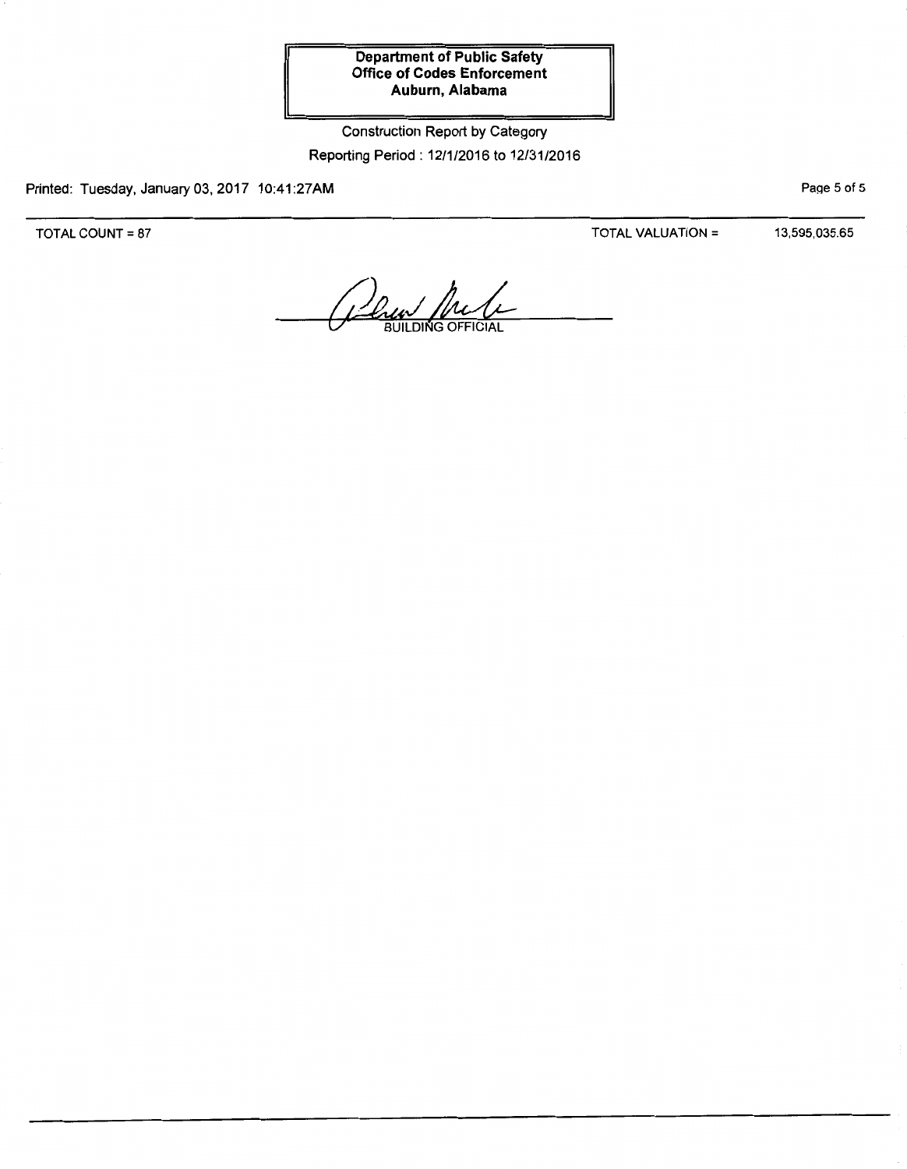Construction Report by Category Reporting Period: 12/1/2016 to 12/31/2016

Printed: Tuesday, January 03, 2017 10:41:27AM

TOTAL COUNT= 87

TOTAL VALUATION = 13,595,035.65

PaQe 5 of 5

*Dau In*